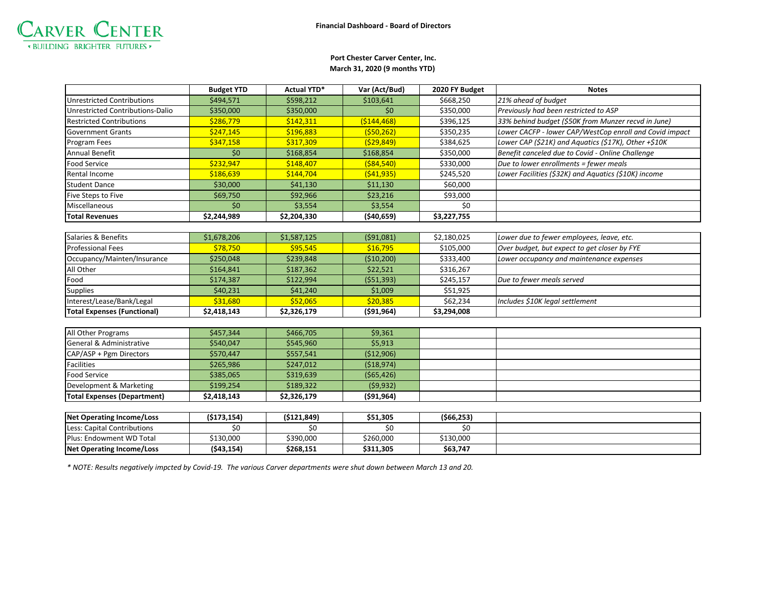

## **March 31, 2020 (9 months YTD) Port Chester Carver Center, Inc.**

|                                  | <b>Budget YTD</b> | <b>Actual YTD*</b> | Var (Act/Bud) | 2020 FY Budget | <b>Notes</b>                                            |  |
|----------------------------------|-------------------|--------------------|---------------|----------------|---------------------------------------------------------|--|
| Unrestricted Contributions       | \$494,571         | \$598,212          | \$103,641     | \$668,250      | 21% ahead of budget                                     |  |
| Unrestricted Contributions-Dalio | \$350,000         | \$350,000          | \$0           | \$350,000      | Previously had been restricted to ASP                   |  |
| <b>Restricted Contributions</b>  | \$286,779         | \$142,311          | ( \$144, 468) | \$396,125      | 33% behind budget (\$50K from Munzer recvd in June)     |  |
|                                  |                   |                    |               |                |                                                         |  |
| <b>Government Grants</b>         | \$247,145         | \$196,883          | (550, 262)    | \$350,235      | Lower CACFP - lower CAP/WestCop enroll and Covid impact |  |
| Program Fees                     | \$347,158         | \$317,309          | (529, 849)    | \$384,625      | Lower CAP (\$21K) and Aquatics (\$17K), Other $+$10K$   |  |
| Annual Benefit                   | \$0               | \$168,854          | \$168,854     | \$350,000      | Benefit canceled due to Covid - Online Challenge        |  |
| Food Service                     | \$232,947         | \$148,407          | ( \$84, 540)  | \$330,000      | Due to lower enrollments = fewer meals                  |  |
| Rental Income                    | \$186,639         | \$144,704          | (541, 935)    | \$245,520      | Lower Facilities (\$32K) and Aquatics (\$10K) income    |  |
| <b>Student Dance</b>             | \$30,000          | \$41,130           | \$11,130      | \$60,000       |                                                         |  |
| Five Steps to Five               | \$69,750          | \$92,966           | \$23,216      | \$93,000       |                                                         |  |
| Miscellaneous                    | \$0               | \$3,554            | \$3,554       | \$0            |                                                         |  |
| <b>Total Revenues</b>            | \$2,244,989       | \$2,204,330        | ( \$40, 659]  | \$3,227,755    |                                                         |  |
|                                  |                   |                    |               |                |                                                         |  |
| Salaries & Benefits              | \$1,678,206       | \$1,587,125        | (591,081)     | \$2,180,025    | Lower due to fewer employees, leave, etc.               |  |
| <b>Professional Fees</b>         | \$78,750          | \$95,545           | \$16,795      | \$105,000      | Over budget, but expect to get closer by FYE            |  |
| Occupancy/Mainten/Insurance      | \$250,048         | \$239,848          | ( \$10,200)   | \$333,400      | Lower occupancy and maintenance expenses                |  |
| All Other                        | \$164,841         | \$187,362          | \$22,521      | \$316,267      |                                                         |  |
| Food                             | \$174,387         | \$122,994          | (551, 393)    | \$245,157      | Due to fewer meals served                               |  |
| <b>Supplies</b>                  | \$40,231          | \$41,240           | \$1,009       | \$51,925       |                                                         |  |

| <b>General &amp; Administrative</b> | \$540,047   | \$545,960   | \$5,913     |            |  |
|-------------------------------------|-------------|-------------|-------------|------------|--|
| CAP/ASP + Pgm Directors             | \$570,447   | \$557,541   | ( \$12,906) |            |  |
| <b>Facilities</b>                   | \$265,986   | \$247,012   | (518, 974)  |            |  |
| <b>Food Service</b>                 | \$385,065   | \$319,639   | (565, 426)  |            |  |
| Development & Marketing             | \$199,254   | \$189,322   | (59, 932)   |            |  |
| Total Expenses (Department)         | \$2,418,143 | \$2,326,179 | (591, 964)  |            |  |
|                                     |             |             |             |            |  |
| <b>Net Operating Income/Loss</b>    | (5173, 154) | (5121, 849) | \$51,305    | (566, 253) |  |
| Less: Capital Contributions         | \$0         | \$0         | \$0         | \$0        |  |

|Interest/Lease/Bank/Legal **S31,680 S S52,065 | \$20,385 |** \$62,234 |Includes \$10K legal settlement

*\* NOTE: Results negatively impcted by Covid-19. The various Carver departments were shut down between March 13 and 20.* 

Plus: Endowment WD Total | \$130,000 | \$390,000 | \$260,000 | \$130,000 **Net Operating Income/Loss (\$43,154) \$268,151 \$311,305 \$63,747**

**Total Expenses (Functional) \$2,418,143 \$2,326,179 (\$91,964) \$3,294,008**

All Other Programs \$457,344 \$466,705 \$9,361